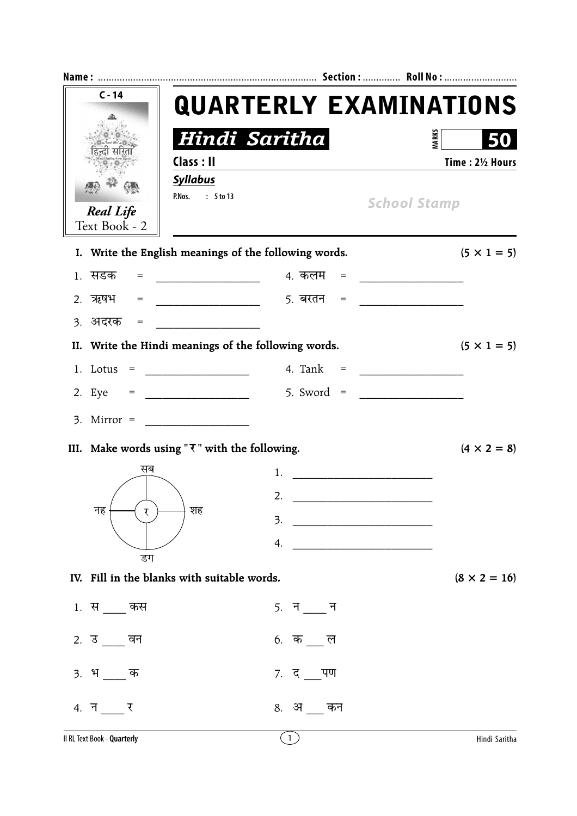| $C - 14$                                               |                                                  | <b>QUARTERLY EXAMINATIONS</b>                                                                                              |                                     |  |  |  |  |  |
|--------------------------------------------------------|--------------------------------------------------|----------------------------------------------------------------------------------------------------------------------------|-------------------------------------|--|--|--|--|--|
|                                                        |                                                  | Hindi Saritha                                                                                                              | <b>MARKS</b>                        |  |  |  |  |  |
|                                                        | Class : II                                       |                                                                                                                            | Time: 21/2 Hours                    |  |  |  |  |  |
| <b>Real Life</b><br>Text Book - 2                      | <b>Syllabus</b><br>: 5 to 13<br>P.Nos.           |                                                                                                                            | <b>School Stamp</b>                 |  |  |  |  |  |
|                                                        |                                                  | I. Write the English meanings of the following words.                                                                      | $(5 \times 1 = 5)$                  |  |  |  |  |  |
| 1. सडक<br>$=$                                          | <u> 1990 - Johann Barbara, martin a</u>          | 4. कलम   =   _________________                                                                                             |                                     |  |  |  |  |  |
|                                                        |                                                  | 5 <i>.</i> बरतन =                                                                                                          | <u> 1980 - Jan Barbarat, manala</u> |  |  |  |  |  |
| 3. अदरक<br>$=$                                         |                                                  |                                                                                                                            |                                     |  |  |  |  |  |
|                                                        |                                                  | II. Write the Hindi meanings of the following words.                                                                       | $(5 \times 1 = 5)$                  |  |  |  |  |  |
| $1.$ Lotus =                                           | <u> 1990 - Johann Barn, mars ann an t-</u>       |                                                                                                                            |                                     |  |  |  |  |  |
| 2. Eye $=$                                             |                                                  |                                                                                                                            |                                     |  |  |  |  |  |
| $3.$ Mirror =                                          | <u> 1990 - Jan Barbara Barat, prima polit</u> ik |                                                                                                                            |                                     |  |  |  |  |  |
| III. Make words using " $\nabla$ " with the following. |                                                  |                                                                                                                            | $(4 \times 2 = 8)$                  |  |  |  |  |  |
| सब                                                     |                                                  | 1.                                                                                                                         |                                     |  |  |  |  |  |
|                                                        |                                                  | 2.                                                                                                                         |                                     |  |  |  |  |  |
| नह<br>र                                                | शह                                               | 3.<br><u> 1989 - Johann Barn, mars ar breithinn ar breithinn ar breithinn ar breithinn ar breithinn ar breithinn ar br</u> |                                     |  |  |  |  |  |
|                                                        |                                                  | 4. $\qquad \qquad$                                                                                                         |                                     |  |  |  |  |  |
| डग<br>IV. Fill in the blanks with suitable words.      |                                                  |                                                                                                                            | $(8 \times 2 = 16)$                 |  |  |  |  |  |
|                                                        |                                                  |                                                                                                                            |                                     |  |  |  |  |  |
| 1. स कस                                                |                                                  | $5.$ न $\_\_$ न                                                                                                            |                                     |  |  |  |  |  |
| 2. उ वन                                                |                                                  | 6. क $\overline{a}$ ल                                                                                                      |                                     |  |  |  |  |  |
| <u>3</u> . भक                                          |                                                  | 7. द पण                                                                                                                    |                                     |  |  |  |  |  |
| 4. न र                                                 |                                                  | 8. अकन                                                                                                                     |                                     |  |  |  |  |  |
| Il RL Text Book - Quarterly                            |                                                  | $\left(1\right)$                                                                                                           | Hindi Saritha                       |  |  |  |  |  |